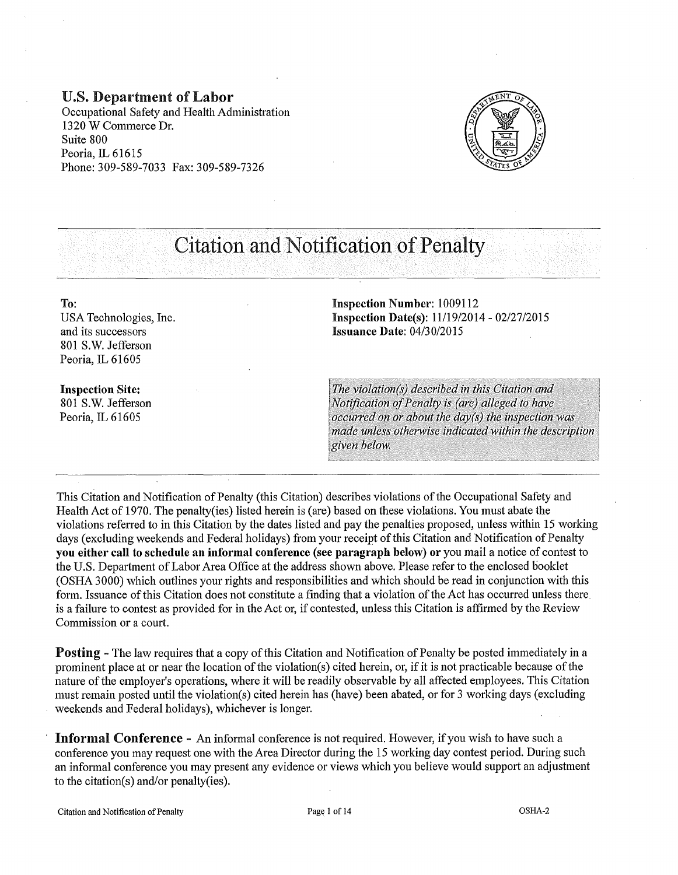#### U.S. Department of Labor Occupational Safety and Health Administration 1320 W Commerce Dr. Suite 800 Peoria, IL 61615 Phone: 309-589-7033 Fax: 309-589-7326



# Citation and Notification of Penalty

To: USA Technologies, Inc. and its successors 801 S.W. Jefferson Peoria, IL 61605

Inspection Site: 801 S.W. Jefferson Peoria, IL 61605

Inspection Number: 1009112 Inspection Date(s): 11/19/2014- 02/27/2015 Issuance Date: 04/30/2015

r---  $|The violation(s)$  described in this Citation and *Notification of Penalty is (are) alleged to have occurred on or about the day(s) the inspection was* made unless otherwise indicated within the description given below. L

This Citation and Notification of Penalty (this Citation) describes violations of the Occupational Safety and Health Act of 1970. The penalty(ies) listed herein is (are) based on these violations. You must abate the violations referred to in this Citation by the dates listed and pay the penalties proposed, unless within 15 working days (excluding weekends and Federal holidays) from your receipt of this Citation and Notification of Penalty you either call to schedule an informal conference (see paragraph below) or you mail a notice of contest to the U.S. Department of Labor Area Office at the address shown above. Please refer to the enclosed booklet (OSHA 3000) which outlines your rights and responsibilities and which should be read in conjunction with this form. Issuance of this Citation does not constitute a finding that a violation of the Act has occurred unless there. is a failure to contest as provided for in the Act or, if contested, unless this Citation is affirmed by the Review Commission or a court.

**Posting -** The law requires that a copy of this Citation and Notification of Penalty be posted immediately in a prominent place at or near the location of the violation( s) cited herein, or, if it is not practicable because of the nature ofthe employer's operations, where it will be readily observable by all affected employees. This Citation must remain posted until the violation(s) cited herein has (have) been abated, or for 3 working days (excluding weekends and Federal holidays), whichever is longer.

Informal Conference - An informal conference is not required. However, if you wish to have such a conference you may request one with the Area Director during the 15 working day contest period. During such an informal conference you may present any evidence or views which you believe would support an adjustment to the citation(s) and/or penalty(ies).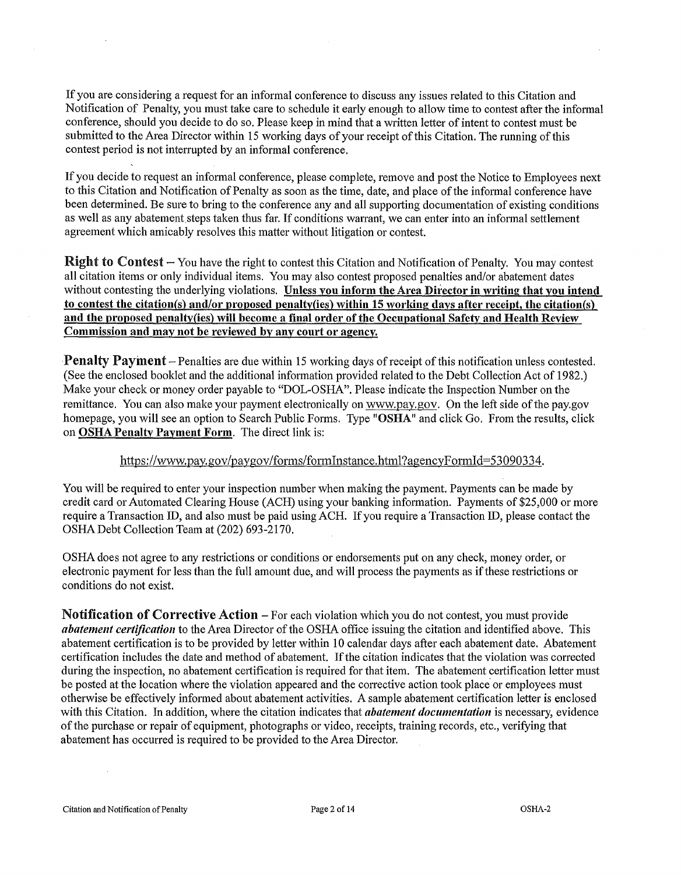If you are considering a request for an informal conference to discuss any issues related to this Citation and Notification of Penalty, you must take care to schedule it early enough to allow time to contest after the informal conference, should you decide to do so. Please keep in mind that a written letter of intent to contest must be submitted to the Area Director within 15 working days of your receipt of this Citation. The running of this contest period is not interrupted by an informal conference.

If you decide to request an informal conference, please complete, remove and post the Notice to Employees next to this Citation and Notification of Penalty as soon as the time, date, and place of the informal conference have been determined. Be sure to bring to the conference any and all supporting documentation of existing conditions as well as any abatement steps taken thus far. If conditions warrant, we can enter into an informal settlement agreement which amicably resolves this matter without litigation or contest.

**Right to Contest** – You have the right to contest this Citation and Notification of Penalty. You may contest all citation items or only individual items. You may also contest proposed penalties and/or abatement dates without contesting the underlying violations. Unless you inform the Area Director in writing that you intend to contest the citation(s) and/or proposed penalty(ies) within 15 working days after receipt, the citation(s) and the proposed penalty(ies) will become a final order of the Occupational Safety and Health Review Commission and may not be reviewed by any court or agency.

Penalty Payment – Penalties are due within 15 working days of receipt of this notification unless contested. (See the enclosed booklet and the additional information provided related to the Debt Collection Act of 1982.) Make your check or money order payable to "DOL-OSHA". Please indicate the Inspection Number on the remittance. You can also make your payment electronically on www.pay.gov. On the left side of the pay.gov homepage, you will see an option to Search Public Forms. Type "OSHA" and click Go. From the results, click on OSHA Penalty Payment Form. The direct link is:

# https://www.pay.gov/paygov/forms/formlnstance.html?agencyFotmld=53090334.

You will be required to enter your inspection number when making the payment. Payments can be made by credit card or Automated Clearing House (ACH) using your banking information. Payments of \$25,000 or more require a Transaction ID, and also must be paid using ACH. If you require a Transaction ID, please contact the OSHA Debt Collection Team at (202) 693-2170.

OSHA does not agree to any restrictions or conditions or endorsements put on any check, money order, or electronic payment for less than the full amount due, and will process the payments as if these restrictions or conditions do not exist.

**Notification of Corrective Action**  $-$  For each violation which you do not contest, you must provide *abatement certification* to the Area Director of the OSHA office issuing the citation and identified above. This abatement certification is to be provided by letter within I 0 calendar days after each abatement date. Abatement cetiification includes the date and method of abatement. If the citation indicates that the violation was corrected during the inspection, no abatement certification is required for that item. The abatement certification letter must be posted at the location where the violation appeared and the corrective action took place or employees must otherwise be effectively informed about abatement activities. A sample abatement certification letter is enclosed with this Citation. In addition, where the citation indicates that *abatement documentation* is necessary, evidence of the purchase or repair of equipment, photographs or video, receipts, training records, etc., verifying that abatement has occurred is required to be provided to the Area Director.

 $\bar{z}$ 

 $\bar{\mathcal{A}}$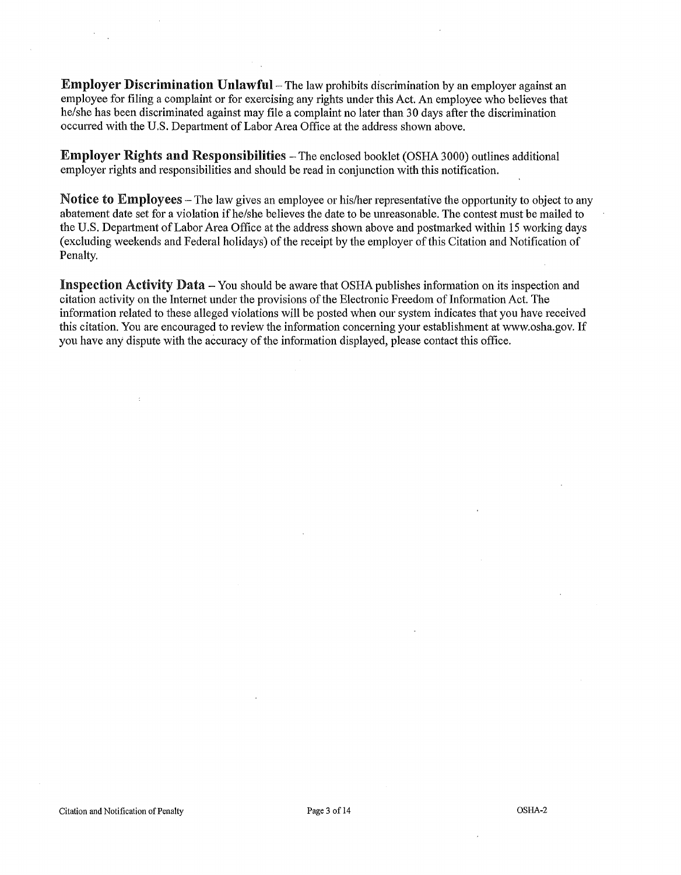Employer Discrimination Unlawful- The law prohibits discrimination by an employer against an employee for filing a complaint or for exercising any rights under this Act. An employee who believes that he/she has been discriminated against may file a complaint no later than 30 days after the discrimination occurred with the U.S. Department of Labor Area Office at the address shown above.

**Employer Rights and Responsibilities** – The enclosed booklet (OSHA 3000) outlines additional employer rights and responsibilities and should be read in conjunction with this notification.

Notice to Employees – The law gives an employee or his/her representative the opportunity to object to any abatement date set for a violation if he/she believes the date to be unreasonable. The contest must be mailed to the U.S. Department ofLabor Area Office at the address shown above and postmarked within 15 working days (excluding weekends and Federal holidays) of the receipt by the employer ofthis Citation and Notification of Penalty.

Inspection Activity Data - You should be aware that OSHA publishes information on its inspection and citation activity on the Internet under the provisions of the Electronic Freedom of Information Act. The information related to these alleged violations will be posted when our system indicates that you have received this citation. You are encouraged to review the information concerning your establishment at www.osha.gov. If you have any dispute with the accuracy of the information displayed, please contact this office.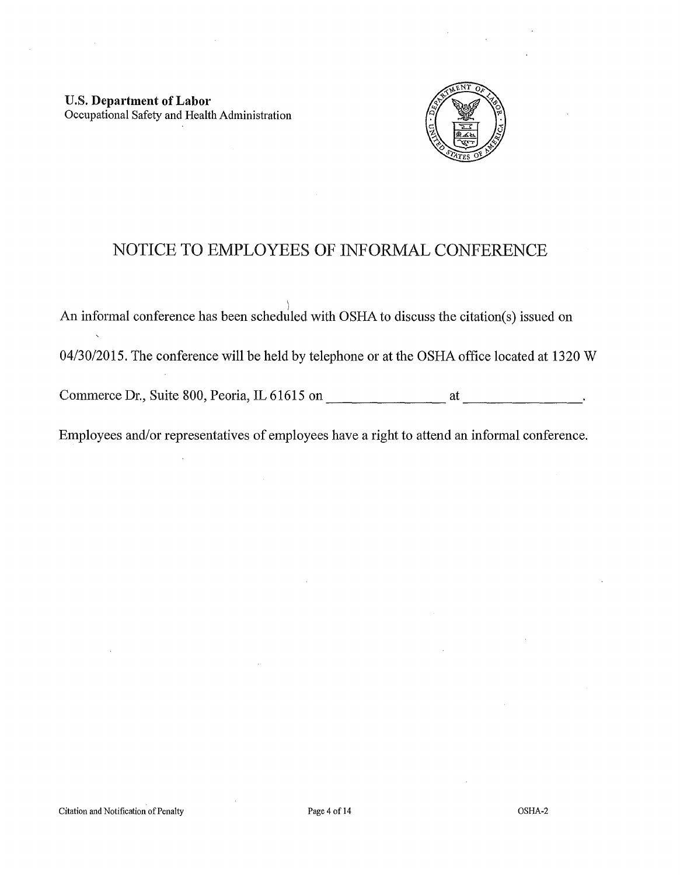U.S. Department of Labor Occupational Safety and Health Administration



# NOTICE TO EMPLOYEES OF INFORMAL CONFERENCE

) An informal conference has been scheduled with OSHA to discuss the citation(s) issued on 04/30/2015. The conference will be held by telephone or at the OSHA office located at 1320 W Commerce Dr., Suite 800, Peoria, IL 61615 on at at the contract of the state of the contract of the contract of the contract of the contract of the contract of the contract of the contract of the contract of the contract o Employees and/or representatives of employees have a right to attend an informal conference.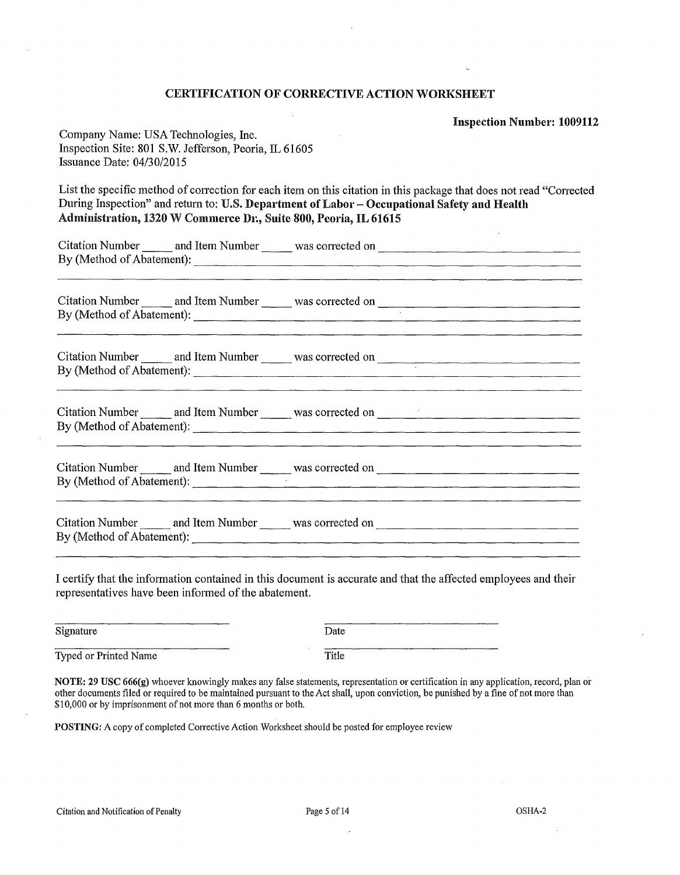#### CERTIFICATION OF CORRECTIVE ACTION WORKSHEET

 $\mathbf{r}$ 

Inspection Number: 1009112

| Company Name: USA Technologies, Inc.                  |
|-------------------------------------------------------|
| Inspection Site: 801 S.W. Jefferson, Peoria, IL 61605 |
| Issuance Date: $04/30/2015$                           |

List the specific method of conection for each item on this citation in this package that does not read "Corrected During Inspection" and return to: U.S. Department of Labor- Occupational Safety and Health Administration, 1320 W Commerce Dr., Suite 800, Peoria, IL 61615

|  | Citation Number ______ and Item Number ______ was corrected on                                                                               |
|--|----------------------------------------------------------------------------------------------------------------------------------------------|
|  |                                                                                                                                              |
|  | Citation Number en and Item Number en was corrected on<br>By (Method of Abatement): <u>Container and the set of Abatement</u> of Abatement): |
|  | By (Method of Abatement): 2008 and 2008 and 2008 and 2008 and 2008 and 2008 and 2008 and 2008 and 2008 and 200                               |

I cettify that the information contained in this document is accurate and that the affected employees and their representatives have been informed of the abatement.

| Signature             | Date  |
|-----------------------|-------|
| Typed or Printed Name | Title |

NOTE: 29 USC 666(g) whoever knowingly makes any false statements, representation or certification in any application, record, plan oi: other documents filed or required to be maintained pursuant to the Act shall, upon conviction, be punished by a fine of not more than \$10,000 or by imprisonment of not more than 6 months or both.

POSTING: A copy of completed Corrective Action Worksheet should be posted for employee review

 $\ddot{\phantom{a}}$ 

 $\sim$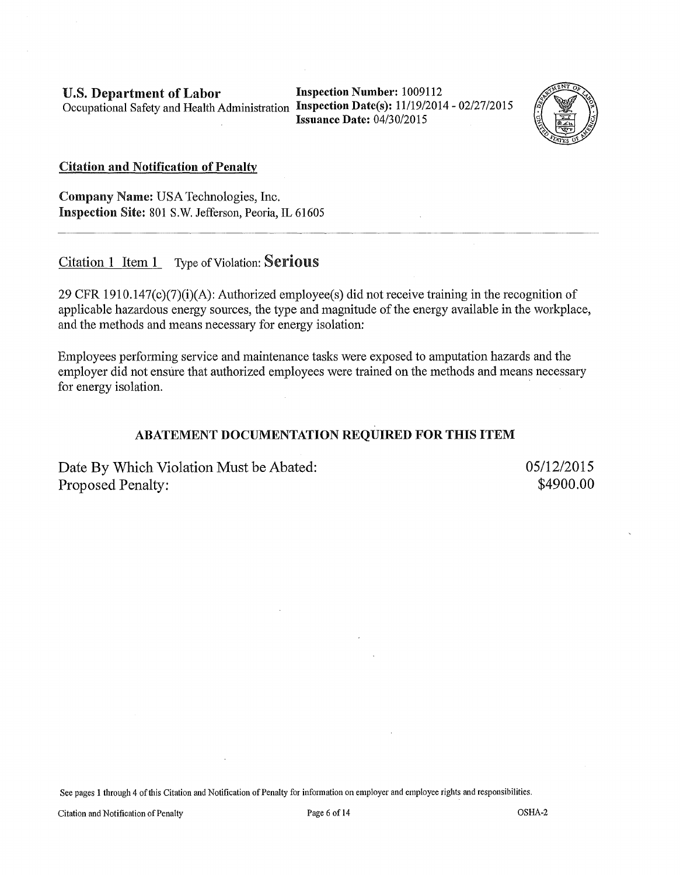U.S. Department of Labor Inspection Number: 1009112

Occupational Safety and Health Administration Inspection Date(s): 11/19/2014-02/27/2015 Issuance Date: 04/30/2015



#### Citation and Notification of Penalty

Company Name: USA Technologies, Inc. Inspection Site: 801 S.W. Jefferson, Peoria, IL 61605

Citation 1 Item 1 Type of Violation: Serious

29 CFR 1910.147(c)(7)(i)(A): Authorized employee(s) did not receive training in the recognition of applicable hazardous energy sources, the type and magnitude of the energy available in the workplace, and the methods and means necessary for energy isolation:

Employees performing service and maintenance tasks were exposed to amputation hazards and the employer did not ensure that authorized employees were trained on the methods and means necessary for energy isolation.

# ABATEMENT DOCUMENTATION REQUIRED FOR THIS ITEM

Date By Which Violation Must be Abated: Proposed Penalty:

05/12/2015 \$4900.00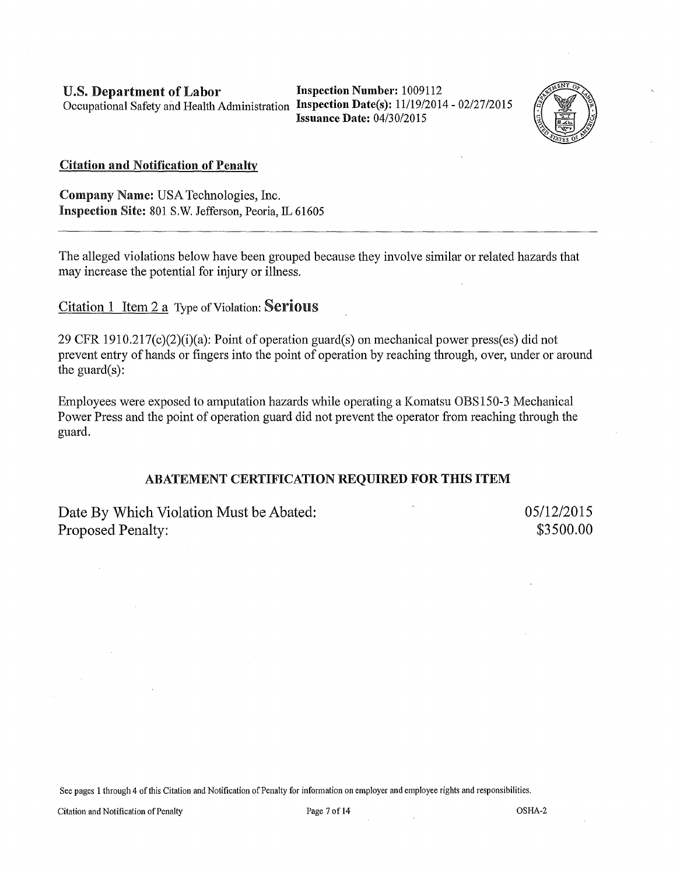Issuance Date: 04/30/2015



# Citation and Notification of Penalty

Company Name: USA Technologies, Inc. Inspection Site: 801 S.W. Jefferson, Peoria, IL 61605

The alleged violations below have been grouped because they involve similar or related hazards that may increase the potential for injury or illness.

Citation 1 Item 2 a Type of Violation: Serious

29 CFR 1910.217(c)(2)(i)(a): Point of operation guard(s) on mechanical power press(es) did not prevent entry of hands or fingers into the point of operation by reaching through, over, under or around the guard(s):

Employees were exposed to amputation hazards while operating a Komatsu OBS150-3 Mechanical Power Press and the point of operation guard did not prevent the operator from reaching through the guard.

# ABATEMENT CERTIFICATION REQUIRED FOR THIS ITEM

Date By Which Violation Must be Abated: Proposed Penalty:

05/12/2015 \$3500.00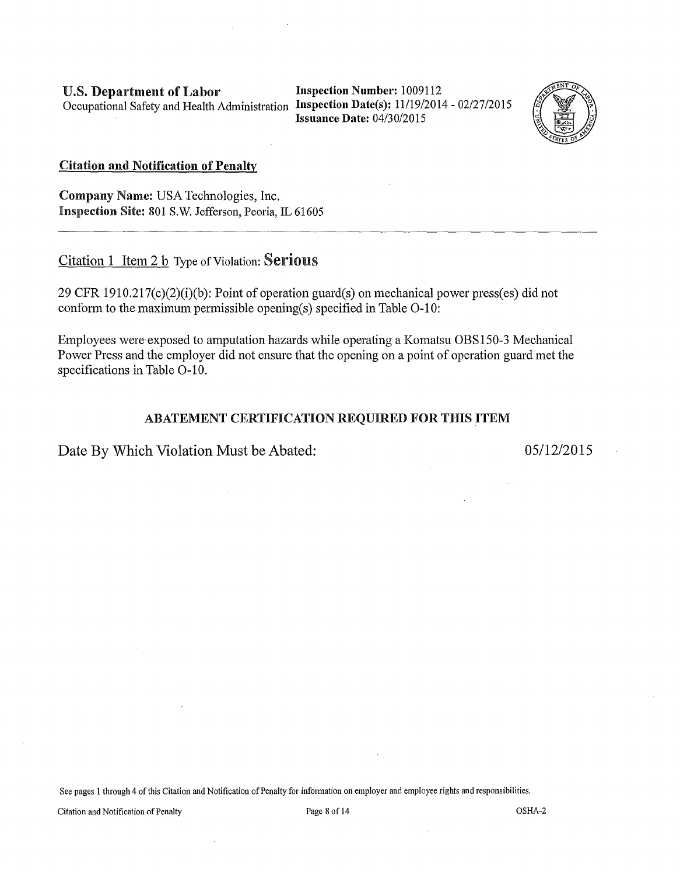U.S. Department of Labor Inspection Number: 1009112 Occupational Safety and Health Administration Inspection Date(s): 11/19/2014-02/27/2015

Issuance Date: 04/30/2015



#### Citation and Notification of Penalty

Company Name: USA Technologies, Inc. Inspection Site: 801 S.W. Jefferson, Peoria, IL 61605

Citation 1 Item 2 b Type of Violation: Serious

29 CFR 1910.217(c)(2)(i)(b): Point of operation guard(s) on mechanical power press(es) did not conform to the maximum permissible opening(s) specified in Table 0-10:

Employees were· exposed to amputation hazards while operating a Komatsu OBS150-3 Mechanical Power Press and the employer did not ensure that the opening on a point of operation guard met the specifications in Table 0-10.

#### ABATEMENT CERTIFICATION REQUIRED FOR THIS ITEM

Date By Which Violation Must be Abated: 05/12/2015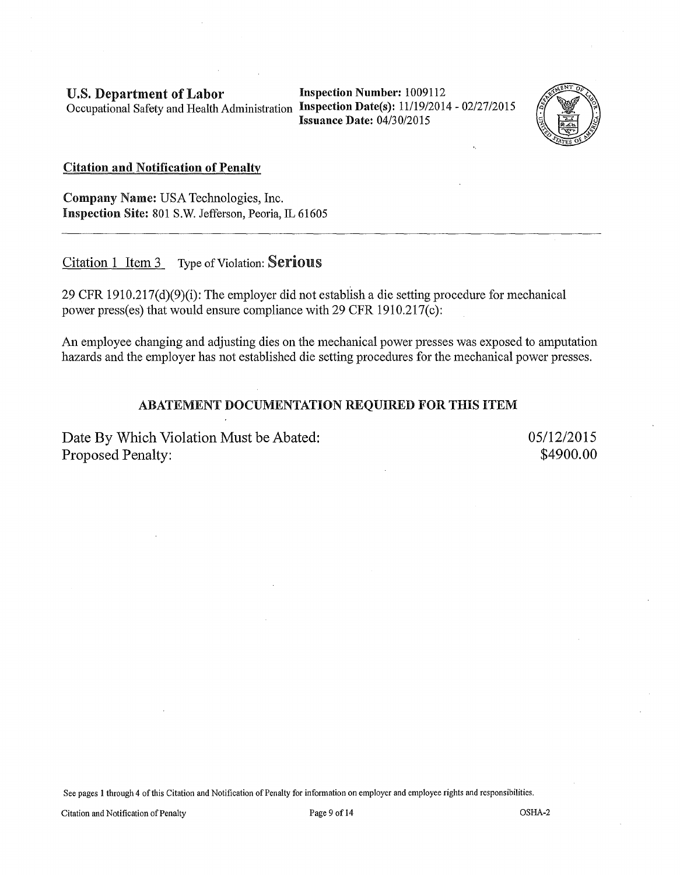U.S. Department of Labor Inspection Number: 1009112 Occupational Safety and Health Administration Inspection Date(s): 11/19/2014-02/27/2015

Issuance Date: 04/30/2015



#### Citation and Notification of Penalty

Company Name: USA Technologies, Inc. Inspection Site: 801 S.W. Jefferson, Peoria, IL 61605

Citation 1 Item 3 Type of Violation: Serious

29 CFR 1910.217(d)(9)(i): The employer did not establish a die setting procedure for mechanical power press(es) that would ensure compliance with 29 CFR 1910.217(c):

An employee changing and adjusting dies on the mechanical power presses was exposed to amputation hazards and the employer has not established die setting procedures for the mechanical power presses.

# ABATEMENT DOCUMENTATION REQUIRED FOR THIS ITEM

Date By Which Violation Must be Abated: Proposed Penalty:

05/12/2015 \$4900.00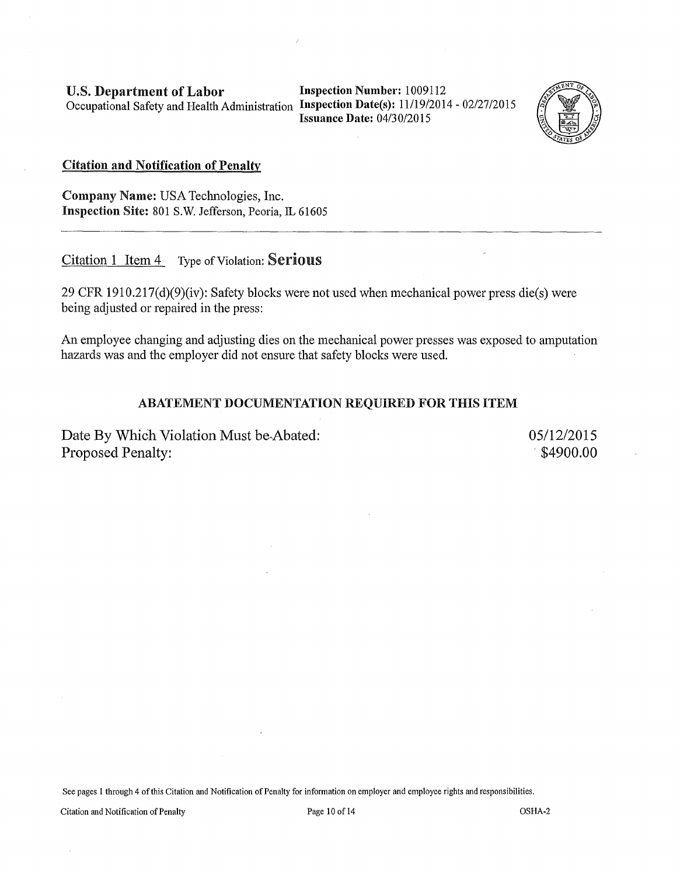U.S. Department of Labor Inspection Number: 1009112 Occupational Safety and Health Administration Inspection Date(s): 11/19/2014- 02/27/2015

Issuance Date: 04/30/2015



#### Citation and Notification of Penalty

Company Name: USA Technologies, Inc. Inspection Site: 801 S.W. Jefferson, Peoria, 1L 61605

Citation 1 Item 4 Type of Violation: Serious

29 CFR 1910.217(d)(9)(iv): Safety blocks were not used when mechanical power press die(s) were being adjusted or repaired in the press:

An employee changing and adjusting dies on the mechanical power presses was exposed to amputation hazards was and the employer did not ensure that safety blocks were used.

# ABATEMENT DOCUMENTATION REQUIRED FOR THIS ITEM

Date By Which Violation Must be-Abated: Proposed Penalty:

05/12/2015 . \$4900.00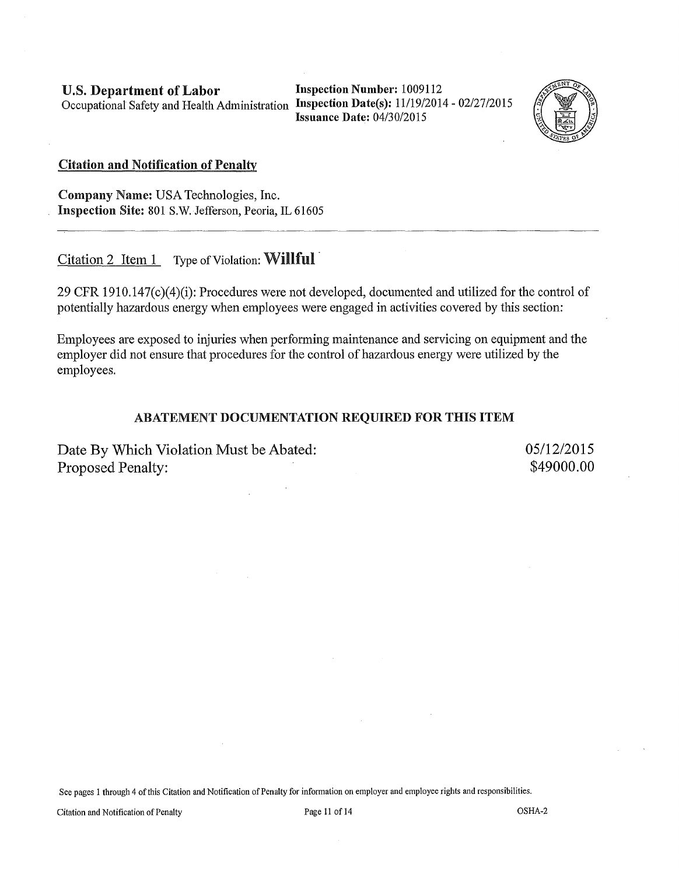U.S. Department of Labor Inspection Number: 1009112 Occupational Safety and Health Administration Inspection Date(s): 11/19/2014- 02/27/2015

Issuance Date: 04/30/2015



### Citation and Notification of Penalty

Company Name: USA Technologies, Inc. Inspection Site: 801 S.W. Jefferson, Peoria, IL 61605

Citation 2 Item 1 Type of Violation: Willful

29 CFR 1910.147(c)(4)(i): Procedures were not developed, documented and utilized for the control of potentially hazardous energy when employees were engaged in activities covered by this section:

Employees are exposed to injuries when performing maintenance and servicing on equipment and the employer did not ensure that procedures for the control of hazardous energy were utilized by the employees.

# ABATEMENT DOCUMENTATION REQUIRED FOR THIS ITEM

Date By Which Violation Must be Abated: Proposed Penalty:

05/12/2015 \$49000.00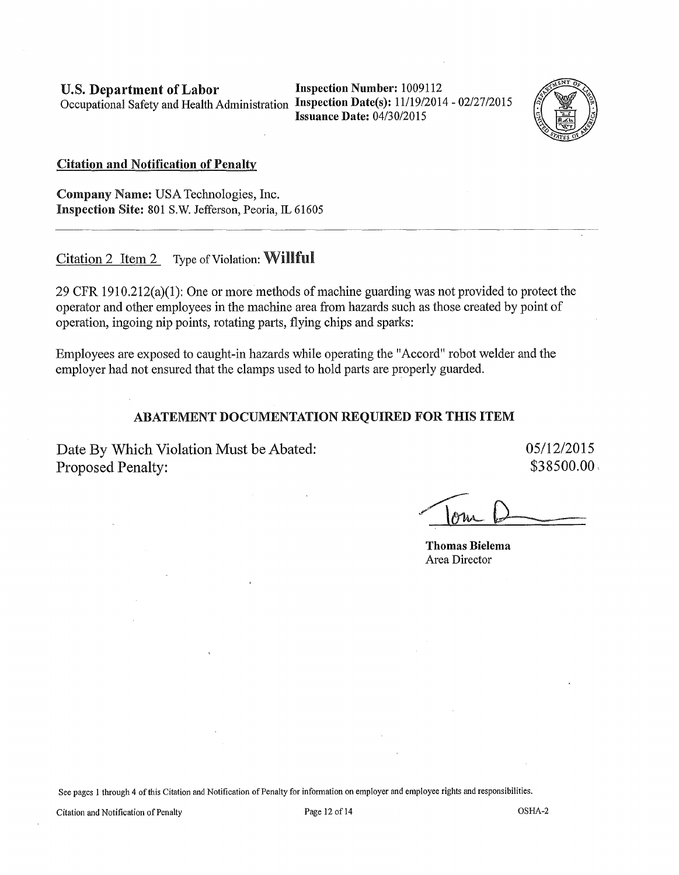U.S. Department of Labor Inspection Number: 1009112 Occupational Safety and Health Administration Inspection Date(s): 11/19/2014-02/27/2015

Issuance Date: 04/30/2015



#### Citation and Notification of Penalty

Company Name: USA Technologies, Inc. Inspection Site: 801 S.W. Jefferson, Peoria, IL 61605

Citation 2 Item 2 Type of Violation: Willful

29 CFR 1910.212(a)(1): One or more methods of machine guarding was not provided to protect the operator and other employees in the machine area from hazards such as those created by point of operation, ingoing nip points, rotating parts, flying chips and sparks:

Employees are exposed to caught-in hazards while operating the "Accord" robot welder and the employer had not ensured that the clamps used to hold parts are properly guarded.

# ABATEMENT DOCUMENTATION REQUIRED FOR THIS ITEM

Date By Which Violation Must be Abated: Proposed Penalty:

05/12/2015 \$38500.00'

Thomas Bielema Area Director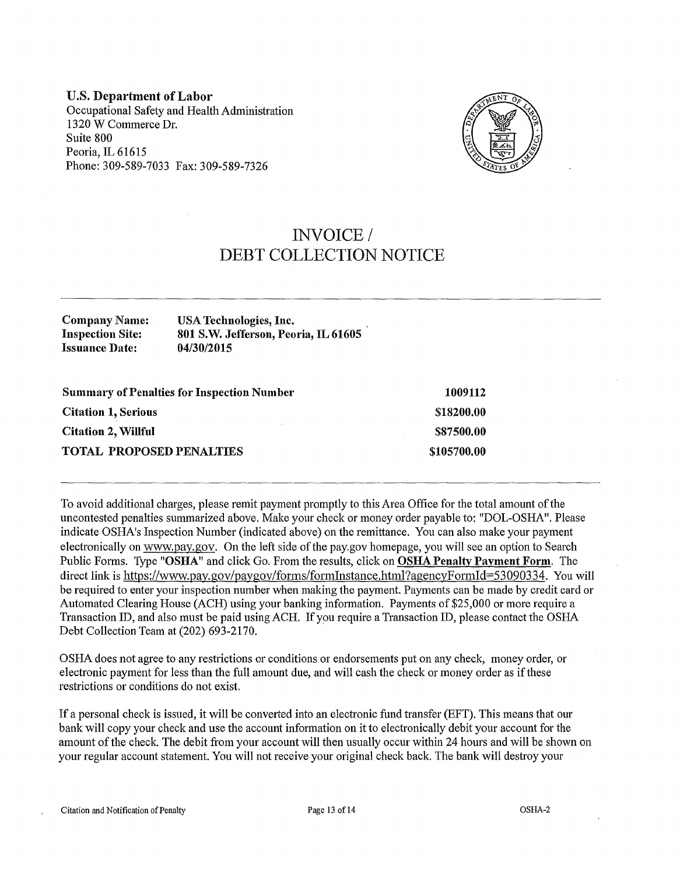U.S. Department of Labor Occupational Safety and Health Administration 1320 W Commerce Dr. Suite 800 Peoria, IL 61615 Phone: 309-589-7033 Fax: 309-589-7326



# INVOICE/ DEBT COLLECTION NOTICE

| <b>Company Name:</b>    | USA Technologies, Inc.               |
|-------------------------|--------------------------------------|
| <b>Inspection Site:</b> | 801 S.W. Jefferson, Peoria, IL 61605 |
| <b>Issuance Date:</b>   | 04/30/2015                           |
|                         |                                      |

| <b>Summary of Penalties for Inspection Number</b> | 1009112     |
|---------------------------------------------------|-------------|
| <b>Citation 1, Serious</b>                        | \$18200.00  |
| <b>Citation 2, Willful</b>                        | \$87500.00  |
| <b>TOTAL PROPOSED PENALTIES</b>                   | \$105700.00 |

To avoid additional charges, please remit payment promptly to this Area Office for the total amount of the uncontested penalties summarized above. Make your check or money order payable to: "DOL-OSHA". Please indicate OSHA's Inspection Number (indicated above) on the remittance. You can also make your payment electronically on www.pay.gov. On the left side of the pay.gov homepage, you will see an option to Search Public Forms. Type "OSHA" and click Go. From the results, click on OSHA Penalty Payment Form. The direct link is https://www.pay.gov/paygov/fotms/formlnstance.html?agencyFormld=53090334. You will be required to enter your inspection number when making the payment. Payments can be made by credit card or Automated Clearing House (ACH) using your banking information. Payments of \$25,000 or more require a Transaction ID, and also must be paid using ACH. If you require a Transaction ID, please contact the OSHA Debt Collection Team at (202) 693-2170.

OSHA does not agree to any restrictions or conditions or endorsements put on any check, money order, or electronic payment for less than the full amount due, and will cash the check or money order as if these restrictions or conditions do not exist.

If a personal check is issued, it will be converted into an electronic fund transfer (EFT). This means that our bank will copy your check and use the account information on it to electronically debit your account for the amount of the check. The debit from your account will then usually occur within 24 hours and will be shown on your regular account statement. You will not receive your original check back The bank will destroy your